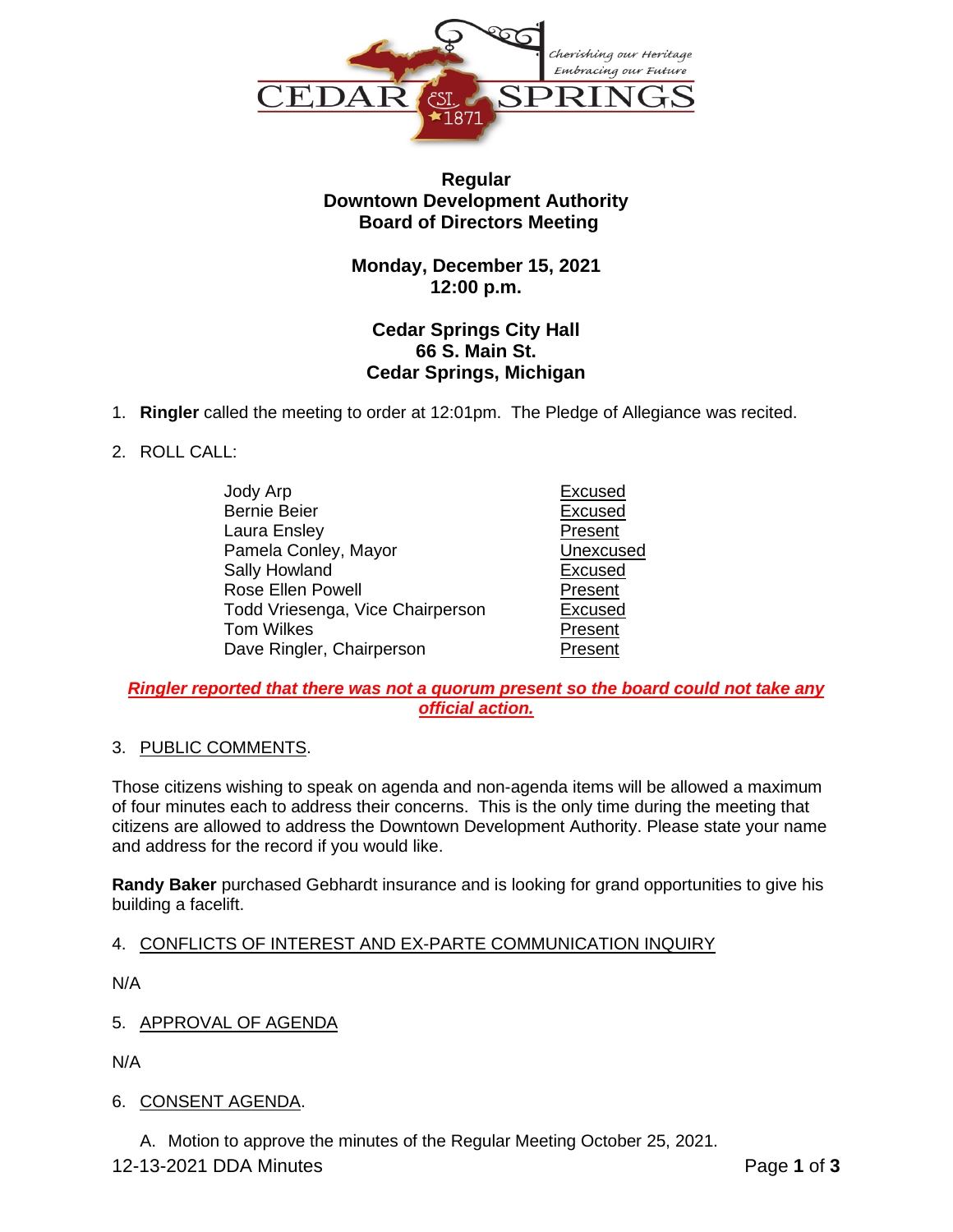

## **Regular Downtown Development Authority Board of Directors Meeting**

**Monday, December 15, 2021 12:00 p.m.**

# **Cedar Springs City Hall 66 S. Main St. Cedar Springs, Michigan**

1. **Ringler** called the meeting to order at 12:01pm. The Pledge of Allegiance was recited.

## 2. ROLL CALL:

Jody Arp Excused Bernie Beier **Excused** Laura Ensley **Present** Pamela Conley, Mayor **Victor** Unexcused Sally Howland **Excused** Rose Ellen Powell **Present** Todd Vriesenga, Vice Chairperson Excused Tom Wilkes **Present** Dave Ringler, Chairperson **Present** 

## *Ringler reported that there was not a quorum present so the board could not take any official action.*

# 3. PUBLIC COMMENTS.

Those citizens wishing to speak on agenda and non-agenda items will be allowed a maximum of four minutes each to address their concerns. This is the only time during the meeting that citizens are allowed to address the Downtown Development Authority. Please state your name and address for the record if you would like.

**Randy Baker** purchased Gebhardt insurance and is looking for grand opportunities to give his building a facelift.

# 4. CONFLICTS OF INTEREST AND EX-PARTE COMMUNICATION INQUIRY

N/A

5. APPROVAL OF AGENDA

N/A

# 6. CONSENT AGENDA.

A. Motion to approve the minutes of the Regular Meeting October 25, 2021.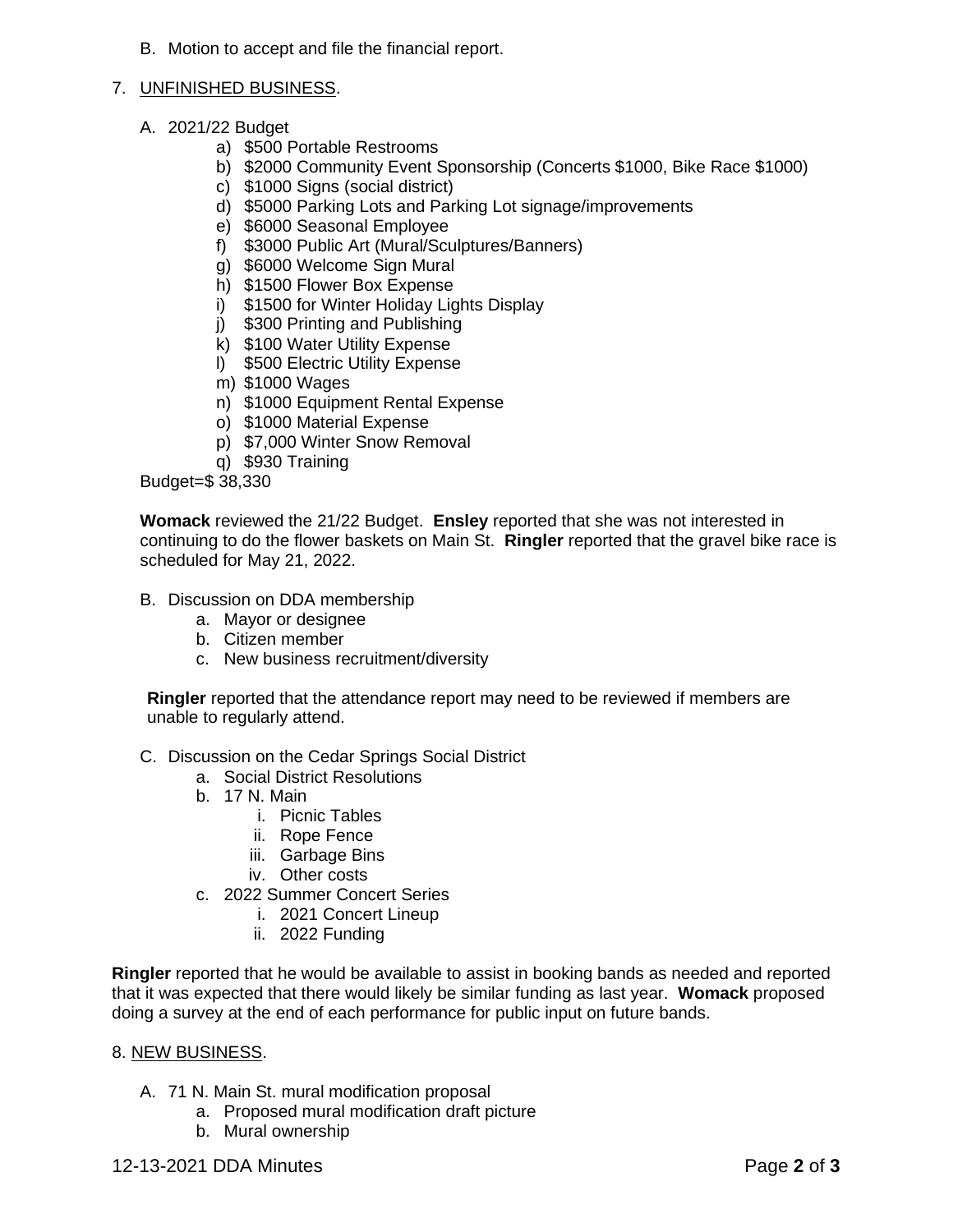B. Motion to accept and file the financial report.

#### 7. UNFINISHED BUSINESS.

- A. 2021/22 Budget
	- a) \$500 Portable Restrooms
	- b) \$2000 Community Event Sponsorship (Concerts \$1000, Bike Race \$1000)
	- c) \$1000 Signs (social district)
	- d) \$5000 Parking Lots and Parking Lot signage/improvements
	- e) \$6000 Seasonal Employee
	- f) \$3000 Public Art (Mural/Sculptures/Banners)
	- g) \$6000 Welcome Sign Mural
	- h) \$1500 Flower Box Expense
	- i) \$1500 for Winter Holiday Lights Display
	- j) \$300 Printing and Publishing
	- k) \$100 Water Utility Expense
	- l) \$500 Electric Utility Expense
	- m) \$1000 Wages
	- n) \$1000 Equipment Rental Expense
	- o) \$1000 Material Expense
	- p) \$7,000 Winter Snow Removal
	- q) \$930 Training

Budget=\$ 38,330

**Womack** reviewed the 21/22 Budget. **Ensley** reported that she was not interested in continuing to do the flower baskets on Main St. **Ringler** reported that the gravel bike race is scheduled for May 21, 2022.

#### B. Discussion on DDA membership

- a. Mayor or designee
- b. Citizen member
- c. New business recruitment/diversity

**Ringler** reported that the attendance report may need to be reviewed if members are unable to regularly attend.

- C. Discussion on the Cedar Springs Social District
	- a. Social District Resolutions
	- b. 17 N. Main
		- i. Picnic Tables
		- ii. Rope Fence
		- iii. Garbage Bins
		- iv. Other costs
	- c. 2022 Summer Concert Series
		- i. 2021 Concert Lineup
			- ii. 2022 Funding

**Ringler** reported that he would be available to assist in booking bands as needed and reported that it was expected that there would likely be similar funding as last year. **Womack** proposed doing a survey at the end of each performance for public input on future bands.

#### 8. NEW BUSINESS.

- A. 71 N. Main St. mural modification proposal
	- a. Proposed mural modification draft picture
	- b. Mural ownership

### 12-13-2021 DDA Minutes Page **2** of **3**